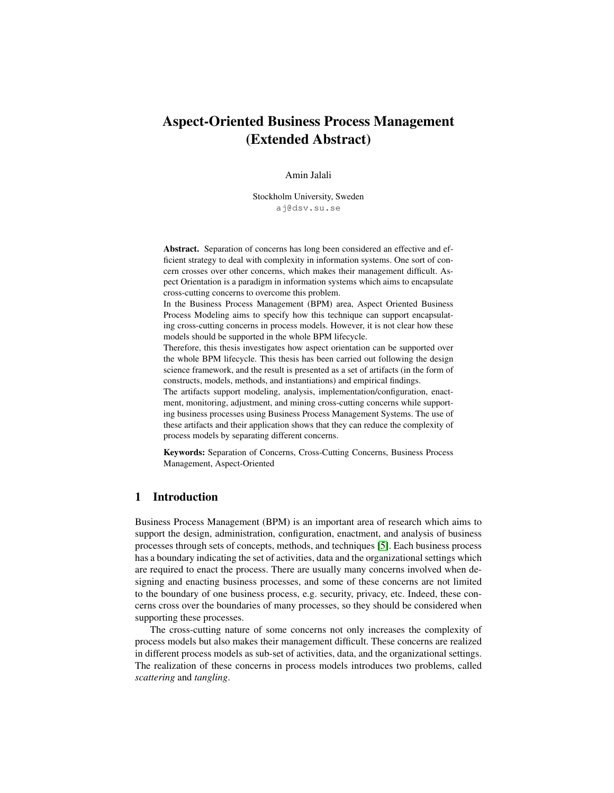# Aspect-Oriented Business Process Management (Extended Abstract)

## Amin Jalali

Stockholm University, Sweden aj@dsv.su.se

Abstract. Separation of concerns has long been considered an effective and efficient strategy to deal with complexity in information systems. One sort of concern crosses over other concerns, which makes their management difficult. Aspect Orientation is a paradigm in information systems which aims to encapsulate cross-cutting concerns to overcome this problem.

In the Business Process Management (BPM) area, Aspect Oriented Business Process Modeling aims to specify how this technique can support encapsulating cross-cutting concerns in process models. However, it is not clear how these models should be supported in the whole BPM lifecycle.

Therefore, this thesis investigates how aspect orientation can be supported over the whole BPM lifecycle. This thesis has been carried out following the design science framework, and the result is presented as a set of artifacts (in the form of constructs, models, methods, and instantiations) and empirical findings.

The artifacts support modeling, analysis, implementation/configuration, enactment, monitoring, adjustment, and mining cross-cutting concerns while supporting business processes using Business Process Management Systems. The use of these artifacts and their application shows that they can reduce the complexity of process models by separating different concerns.

Keywords: Separation of Concerns, Cross-Cutting Concerns, Business Process Management, Aspect-Oriented

# 1 Introduction

Business Process Management (BPM) is an important area of research which aims to support the design, administration, configuration, enactment, and analysis of business processes through sets of concepts, methods, and techniques [\[5\]](#page-4-0). Each business process has a boundary indicating the set of activities, data and the organizational settings which are required to enact the process. There are usually many concerns involved when designing and enacting business processes, and some of these concerns are not limited to the boundary of one business process, e.g. security, privacy, etc. Indeed, these concerns cross over the boundaries of many processes, so they should be considered when supporting these processes.

The cross-cutting nature of some concerns not only increases the complexity of process models but also makes their management difficult. These concerns are realized in different process models as sub-set of activities, data, and the organizational settings. The realization of these concerns in process models introduces two problems, called *scattering* and *tangling*.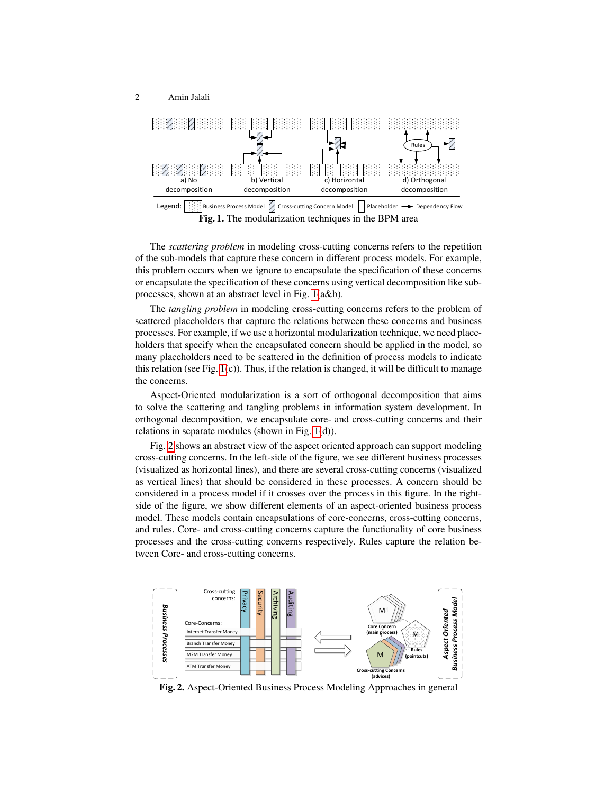



<span id="page-1-0"></span>The *scattering problem* in modeling cross-cutting concerns refers to the repetition of the sub-models that capture these concern in different process models. For example, this problem occurs when we ignore to encapsulate the specification of these concerns or encapsulate the specification of these concerns using vertical decomposition like subprocesses, shown at an abstract level in Fig. [1\(](#page-1-0)a&b).

The *tangling problem* in modeling cross-cutting concerns refers to the problem of scattered placeholders that capture the relations between these concerns and business processes. For example, if we use a horizontal modularization technique, we need placeholders that specify when the encapsulated concern should be applied in the model, so many placeholders need to be scattered in the definition of process models to indicate this relation (see Fig.  $1(c)$ ). Thus, if the relation is changed, it will be difficult to manage the concerns.

Aspect-Oriented modularization is a sort of orthogonal decomposition that aims to solve the scattering and tangling problems in information system development. In orthogonal decomposition, we encapsulate core- and cross-cutting concerns and their relations in separate modules (shown in Fig. [1\(](#page-1-0)d)).

Fig. [2](#page-1-1) shows an abstract view of the aspect oriented approach can support modeling cross-cutting concerns. In the left-side of the figure, we see different business processes (visualized as horizontal lines), and there are several cross-cutting concerns (visualized as vertical lines) that should be considered in these processes. A concern should be considered in a process model if it crosses over the process in this figure. In the rightside of the figure, we show different elements of an aspect-oriented business process model. These models contain encapsulations of core-concerns, cross-cutting concerns, and rules. Core- and cross-cutting concerns capture the functionality of core business processes and the cross-cutting concerns respectively. Rules capture the relation between Core- and cross-cutting concerns.



<span id="page-1-1"></span>Fig. 2. Aspect-Oriented Business Process Modeling Approaches in general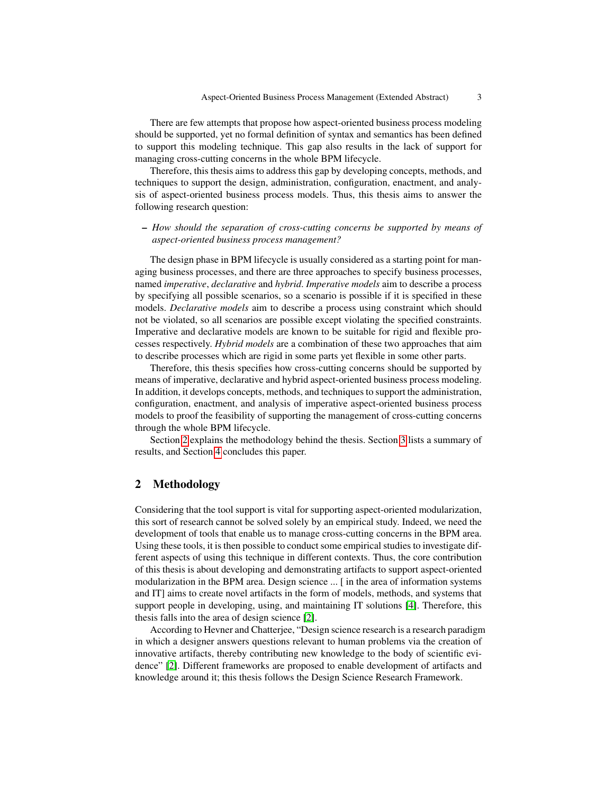There are few attempts that propose how aspect-oriented business process modeling should be supported, yet no formal definition of syntax and semantics has been defined to support this modeling technique. This gap also results in the lack of support for managing cross-cutting concerns in the whole BPM lifecycle.

Therefore, this thesis aims to address this gap by developing concepts, methods, and techniques to support the design, administration, configuration, enactment, and analysis of aspect-oriented business process models. Thus, this thesis aims to answer the following research question:

### – *How should the separation of cross-cutting concerns be supported by means of aspect-oriented business process management?*

The design phase in BPM lifecycle is usually considered as a starting point for managing business processes, and there are three approaches to specify business processes, named *imperative*, *declarative* and *hybrid*. *Imperative models* aim to describe a process by specifying all possible scenarios, so a scenario is possible if it is specified in these models. *Declarative models* aim to describe a process using constraint which should not be violated, so all scenarios are possible except violating the specified constraints. Imperative and declarative models are known to be suitable for rigid and flexible processes respectively. *Hybrid models* are a combination of these two approaches that aim to describe processes which are rigid in some parts yet flexible in some other parts.

Therefore, this thesis specifies how cross-cutting concerns should be supported by means of imperative, declarative and hybrid aspect-oriented business process modeling. In addition, it develops concepts, methods, and techniques to support the administration, configuration, enactment, and analysis of imperative aspect-oriented business process models to proof the feasibility of supporting the management of cross-cutting concerns through the whole BPM lifecycle.

Section [2](#page-2-0) explains the methodology behind the thesis. Section [3](#page-3-0) lists a summary of results, and Section [4](#page-4-1) concludes this paper.

# <span id="page-2-0"></span>2 Methodology

Considering that the tool support is vital for supporting aspect-oriented modularization, this sort of research cannot be solved solely by an empirical study. Indeed, we need the development of tools that enable us to manage cross-cutting concerns in the BPM area. Using these tools, it is then possible to conduct some empirical studies to investigate different aspects of using this technique in different contexts. Thus, the core contribution of this thesis is about developing and demonstrating artifacts to support aspect-oriented modularization in the BPM area. Design science ... [ in the area of information systems and IT] aims to create novel artifacts in the form of models, methods, and systems that support people in developing, using, and maintaining IT solutions [\[4\]](#page-4-2). Therefore, this thesis falls into the area of design science [\[2\]](#page-4-3).

According to Hevner and Chatterjee, "Design science research is a research paradigm in which a designer answers questions relevant to human problems via the creation of innovative artifacts, thereby contributing new knowledge to the body of scientific evidence" [\[2\]](#page-4-3). Different frameworks are proposed to enable development of artifacts and knowledge around it; this thesis follows the Design Science Research Framework.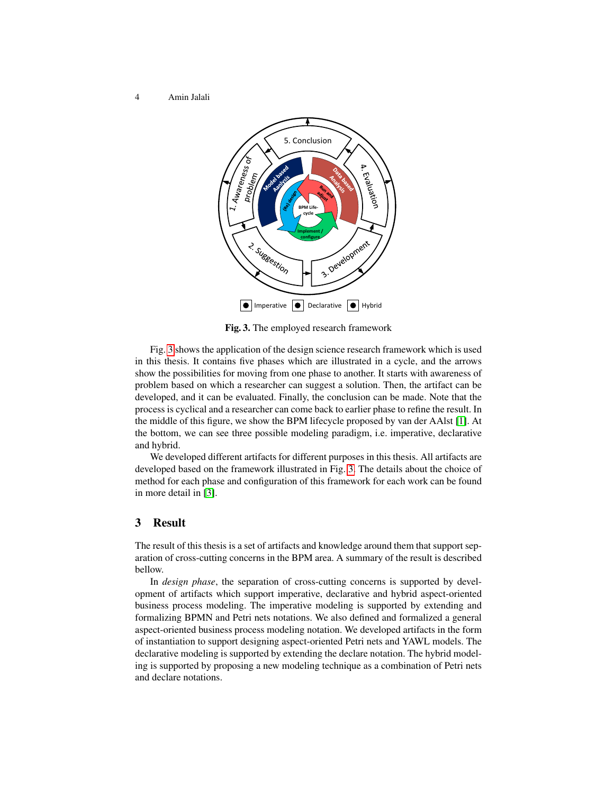4 Amin Jalali



<span id="page-3-1"></span>Fig. 3. The employed research framework

Fig. [3](#page-3-1) shows the application of the design science research framework which is used in this thesis. It contains five phases which are illustrated in a cycle, and the arrows show the possibilities for moving from one phase to another. It starts with awareness of problem based on which a researcher can suggest a solution. Then, the artifact can be developed, and it can be evaluated. Finally, the conclusion can be made. Note that the process is cyclical and a researcher can come back to earlier phase to refine the result. In the middle of this figure, we show the BPM lifecycle proposed by van der AAlst [\[1\]](#page-4-4). At the bottom, we can see three possible modeling paradigm, i.e. imperative, declarative and hybrid.

We developed different artifacts for different purposes in this thesis. All artifacts are developed based on the framework illustrated in Fig. [3.](#page-3-1) The details about the choice of method for each phase and configuration of this framework for each work can be found in more detail in [\[3\]](#page-4-5).

## <span id="page-3-0"></span>3 Result

The result of this thesis is a set of artifacts and knowledge around them that support separation of cross-cutting concerns in the BPM area. A summary of the result is described bellow.

In *design phase*, the separation of cross-cutting concerns is supported by development of artifacts which support imperative, declarative and hybrid aspect-oriented business process modeling. The imperative modeling is supported by extending and formalizing BPMN and Petri nets notations. We also defined and formalized a general aspect-oriented business process modeling notation. We developed artifacts in the form of instantiation to support designing aspect-oriented Petri nets and YAWL models. The declarative modeling is supported by extending the declare notation. The hybrid modeling is supported by proposing a new modeling technique as a combination of Petri nets and declare notations.